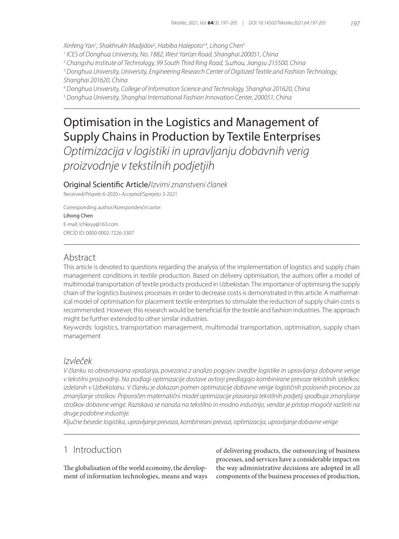*Xinfeng Yan1 , Shakhrukh Madjidov2 , Habiba Halepoto3,4, Lihong Chen5*

*1 ICES of Donghua University, No. 1882, West Yan'an Road, Shanghai 200051, China*

*2 Changshu Institute of Technology, 99 South Third Ring Road, Suzhou, Jiangsu 215500, China*

*3 Donghua University, University, Engineering Research Center of Digitized Textile and Fashion Technology, Shanghai 201620, China*

*4 Donghua University, College of Information Science and Technology, Shanghai 201620, China*

*5 Donghua University, Shanghai International Fashion Innovation Center, 200051, China*

# Optimisation in the Logistics and Management of Supply Chains in Production by Textile Enterprises

*Optimizacija v logistiki in upravljanju dobavnih verig proizvodnje v tekstilnih podjetjih*

Original Scientific Article/*Izvirni znanstveni članek*

Received/*Prispelo* 6-2020 • *Accepted*/Sprejeto 3-2021

Corresponding author/*Korespondenčni avtor*:

#### Lihong Chen

E-mail: lchkxyy@163.com ORCID ID: 0000-0002-7226-3307

## Abstract

This article is devoted to questions regarding the analysis of the implementation of logistics and supply chain management conditions in textile production. Based on delivery optimisation, the authors offer a model of multimodal transportation of textile products produced in Uzbekistan. The importance of optimising the supply chain of the logistics business processes in order to decrease costs is demonstrated in this article. A mathematical model of optimisation for placement textile enterprises to stimulate the reduction of supply chain costs is recommended. However, this research would be beneficial for the textile and fashion industries. The approach might be further extended to other similar industries.

Keywords: logistics, transportation management, multimodal transportation, optimisation, supply chain management

## *Izvleček*

*V članku so obravnavana vprašanja, povezana z analizo pogojev izvedbe logistike in upravljanja dobavne verige v tekstilni proizvodnji. Na podlagi optimizacije dostave avtorji predlagajo kombinirane prevoze tekstilnih izdelkov, izdelanih v Uzbekistanu. V članku je dokazan pomen optimizacije dobavne verige logističnih poslovnih procesov za zmanjšanje stroškov. Priporočen matematični model optimizacije plasiranja tekstilnih podjetij spodbuja zmanjšanje stroškov dobavne verige. Raziskava se nanaša na tekstilno in modno industrijo, vendar je pristop mogoče razširiti na druge podobne industrije.*

*Ključne besede: logistika, upravljanje prevoza, kombinirani prevozi, optimizacija, upravljanje dobavne verige*

# 1 Introduction

The globalisation of the world economy, the development of information technologies, means and ways of delivering products, the outsourcing of business processes, and services have a considerable impact on the way administrative decisions are adopted in all components of the business processes of production,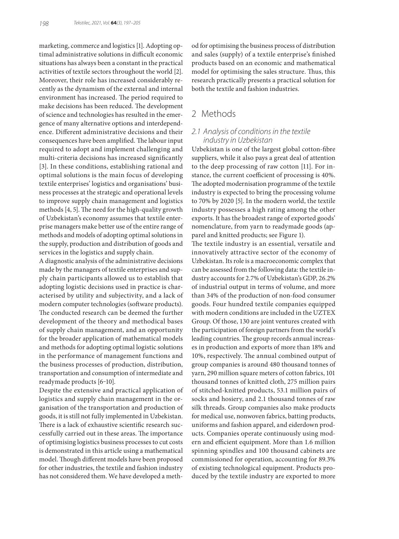marketing, commerce and logistics [1]. Adopting optimal administrative solutions in difficult economic situations has always been a constant in the practical activities of textile sectors throughout the world [2]. Moreover, their role has increased considerably recently as the dynamism of the external and internal environment has increased. The period required to make decisions has been reduced. The development of science and technologies has resulted in the emergence of many alternative options and interdependence. Different administrative decisions and their consequences have been amplified. The labour input required to adopt and implement challenging and multi-criteria decisions has increased significantly [3]. In these conditions, establishing rational and optimal solutions is the main focus of developing textile enterprises' logistics and organisations' business processes at the strategic and operational levels to improve supply chain management and logistics methods [4, 5]. The need for the high-quality growth of Uzbekistan's economy assumes that textile enterprise managers make better use of the entire range of methods and models of adopting optimal solutions in the supply, production and distribution of goods and services in the logistics and supply chain.

A diagnostic analysis of the administrative decisions made by the managers of textile enterprises and supply chain participants allowed us to establish that adopting logistic decisions used in practice is characterised by utility and subjectivity, and a lack of modern computer technologies (software products). The conducted research can be deemed the further development of the theory and methodical bases of supply chain management, and an opportunity for the broader application of mathematical models and methods for adopting optimal logistic solutions in the performance of management functions and the business processes of production, distribution, transportation and consumption of intermediate and readymade products [6-10].

Despite the extensive and practical application of logistics and supply chain management in the organisation of the transportation and production of goods, it is still not fully implemented in Uzbekistan. There is a lack of exhaustive scientific research successfully carried out in these areas. The importance of optimising logistics business processes to cut costs is demonstrated in this article using a mathematical model. Though different models have been proposed for other industries, the textile and fashion industry has not considered them. We have developed a method for optimising the business process of distribution and sales (supply) of a textile enterprise's finished products based on an economic and mathematical model for optimising the sales structure. Thus, this research practically presents a practical solution for both the textile and fashion industries.

# 2 Methods

## *2.1 Analysis of conditions in the textile industry in Uzbekistan*

Uzbekistan is one of the largest global cotton-fibre suppliers, while it also pays a great deal of attention to the deep processing of raw cotton [11]. For instance, the current coefficient of processing is 40%. The adopted modernisation programme of the textile industry is expected to bring the processing volume to 70% by 2020 [5]. In the modern world, the textile industry possesses a high rating among the other exports. It has the broadest range of exported goods' nomenclature, from yarn to readymade goods (apparel and knitted products; see Figure 1).

The textile industry is an essential, versatile and innovatively attractive sector of the economy of Uzbekistan. Its role is a macroeconomic complex that can be assessed from the following data: the textile industry accounts for 2.7% of Uzbekistan's GDP, 26.2% of industrial output in terms of volume, and more than 34% of the production of non-food consumer goods. Four hundred textile companies equipped with modern conditions are included in the UZTEX Group. Of those, 130 are joint ventures created with the participation of foreign partners from the world's leading countries. The group records annual increases in production and exports of more than 18% and 10%, respectively. The annual combined output of group companies is around 480 thousand tonnes of yarn, 290 million square meters of cotton fabrics, 101 thousand tonnes of knitted cloth, 275 million pairs of stitched-knitted products, 53.1 million pairs of socks and hosiery, and 2.1 thousand tonnes of raw silk threads. Group companies also make products for medical use, nonwoven fabrics, batting products, uniforms and fashion apparel, and eiderdown products. Companies operate continuously using modern and efficient equipment. More than 1.6 million spinning spindles and 100 thousand cabinets are commissioned for operation, accounting for 89.3% of existing technological equipment. Products produced by the textile industry are exported to more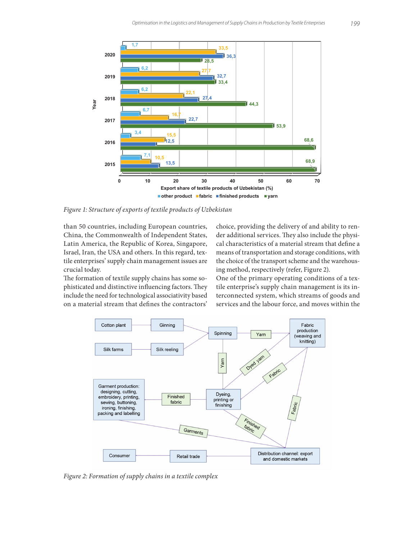

*Figure 1: Structure of exports of textile products of Uzbekistan*

than 50 countries, including European countries, China, the Commonwealth of Independent States, Latin America, the Republic of Korea, Singapore, Israel, Iran, the USA and others. In this regard, textile enterprises' supply chain management issues are crucial today.

The formation of textile supply chains has some sophisticated and distinctive influencing factors. They include the need for technological associativity based on a material stream that defines the contractors' choice, providing the delivery of and ability to render additional services. They also include the physical characteristics of a material stream that define a means of transportation and storage conditions, with the choice of the transport scheme and the warehousing method, respectively (refer, Figure 2).

One of the primary operating conditions of a textile enterprise's supply chain management is its interconnected system, which streams of goods and services and the labour force, and moves within the



*Figure 2: Formation of supply chains in a textile complex*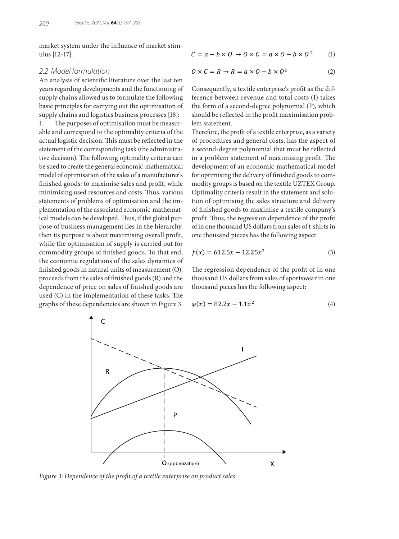market system under the influence of market stimulus [12‒17].

#### *2.2 Model formulation*

An analysis of scientific literature over the last ten years regarding developments and the functioning of supply chains allowed us to formulate the following basic principles for carrying out the optimisation of supply chains and logistics business processes [18]:

I. The purposes of optimisation must be measurable and correspond to the optimality criteria of the actual logistic decision. This must be reflected in the statement of the corresponding task (the administrative decision). The following optimality criteria can be sued to create the general economic-mathematical model of optimisation of the sales of a manufacturer's finished goods: to maximise sales and profit, while minimising used resources and costs. Thus, various statements of problems of optimisation and the implementation of the associated economic-mathematical models can be developed. Thus, if the global purpose of business management lies in the hierarchy, then its purpose is about maximising overall profit, while the optimisation of supply is carried out for commodity groups of finished goods. To that end, the economic regulations of the sales dynamics of finished goods in natural units of measurement (O), proceeds from the sales of finished goods (R) and the dependence of price on sales of finished goods are used (C) in the implementation of these tasks. The graphs of these dependencies are shown in Figure 3.

$$
C = a - b \times 0 \to 0 \times C = a \times 0 - b \times 0^2 \tag{1}
$$

$$
0 \times C = R \to R = a \times 0 - b \times 0^2 \tag{2}
$$

Consequently, a textile enterprise's profit as the difference between revenue and total costs (I) takes the form of a second-degree polynomial (P), which should be reflected in the profit maximisation problem statement.

Therefore, the profit of a textile enterprise, as a variety of procedures and general costs, has the aspect of a second-degree polynomial that must be reflected in a problem statement of maximising profit. The development of an economic-mathematical model for optimising the delivery of finished goods to commodity groups is based on the textile UZTEX Group. Optimality criteria result in the statement and solution of optimising the sales structure and delivery of finished goods to maximise a textile company's profit. Thus, the regression dependence of the profit of in one thousand US dollars from sales of t-shirts in one thousand pieces has the following aspect:

$$
f(x) = 612.5x - 12.25x^2 \tag{3}
$$

The regression dependence of the profit of in one thousand US dollars from sales of sportswear in one thousand pieces has the following aspect:

$$
\varphi(x) = 82.2x - 1.1x^2 \tag{4}
$$



*Figure 3: Dependence of the profit of a textile enterprise on product sales*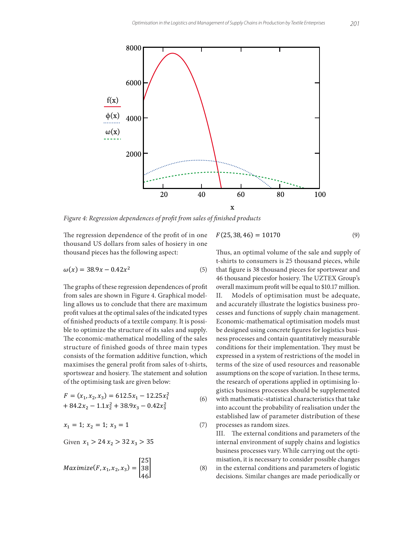

*Figure 4: Regression dependences of profit from sales of finished products*

The regression dependence of the profit of in one thousand US dollars from sales of hosiery in one thousand pieces has the following aspect:

$$
\omega(x) = 38.9x - 0.42x^2 \tag{5}
$$

The graphs of these regression dependences of profit from sales are shown in Figure 4. Graphical modelling allows us to conclude that there are maximum profit values at the optimal sales of the indicated types of finished products of a textile company. It is possible to optimize the structure of its sales and supply. The economic-mathematical modelling of the sales structure of finished goods of three main types consists of the formation additive function, which maximises the general profit from sales of t-shirts, sportswear and hosiery. The statement and solution of the optimising task are given below:

$$
F = (x_1, x_2, x_3) = 612.5x_1 - 12.25x_1^2
$$
  
+ 84.2x<sub>2</sub> - 1.1x<sub>2</sub><sup>2</sup> + 38.9x<sub>3</sub> - 0.42x<sub>3</sub><sup>2</sup>

$$
x_1 = 1; \ x_2 = 1; \ x_3 = 1 \tag{7}
$$

Given  $x_1 > 24 x_2 > 32 x_3 > 35$ 

$$
Maximize(F, x_1, x_2, x_3) = \begin{bmatrix} 25 \\ 38 \\ 46 \end{bmatrix}
$$
 (8)

$$
F(25,38,46) = 10170
$$
 (9)

with mathematic-statistical characteristics that take ' gistics business processes should be supplemented Thus, an optimal volume of the sale and supply of t-shirts to consumers is 25 thousand pieces, while that figure is 38 thousand pieces for sportswear and 46 thousand piecesfor hosiery. The UZTEX Group's overall maximum profit will be equal to \$10.17 million. II. Models of optimisation must be adequate, and accurately illustrate the logistics business processes and functions of supply chain management. Economic-mathematical optimisation models must be designed using concrete figures for logistics business processes and contain quantitatively measurable conditions for their implementation. They must be expressed in a system of restrictions of the model in terms of the size of used resources and reasonable assumptions on the scope of variation. In these terms, the research of operations applied in optimising lointo account the probability of realisation under the established law of parameter distribution of these processes as random sizes.

III. The external conditions and parameters of the internal environment of supply chains and logistics business processes vary. While carrying out the optimisation, it is necessary to consider possible changes

in the external conditions and parameters of logistic decisions. Similar changes are made periodically or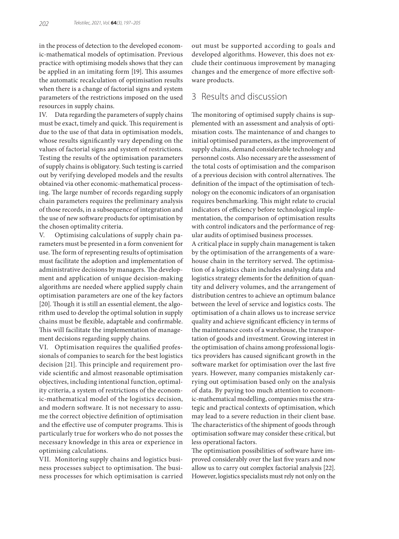in the process of detection to the developed economic-mathematical models of optimisation. Previous practice with optimising models shows that they can be applied in an imitating form [19]. This assumes the automatic recalculation of optimisation results when there is a change of factorial signs and system parameters of the restrictions imposed on the used resources in supply chains.

IV. Data regarding the parameters of supply chains must be exact, timely and quick. This requirement is due to the use of that data in optimisation models, whose results significantly vary depending on the values of factorial signs and system of restrictions. Testing the results of the optimisation parameters of supply chains is obligatory. Such testing is carried out by verifying developed models and the results obtained via other economic-mathematical processing. The large number of records regarding supply chain parameters requires the preliminary analysis of those records, in a subsequence of integration and the use of new software products for optimisation by the chosen optimality criteria.

V. Optimising calculations of supply chain parameters must be presented in a form convenient for use. The form of representing results of optimisation must facilitate the adoption and implementation of administrative decisions by managers. The development and application of unique decision-making algorithms are needed where applied supply chain optimisation parameters are one of the key factors [20]. Though it is still an essential element, the algorithm used to develop the optimal solution in supply chains must be flexible, adaptable and confirmable. This will facilitate the implementation of management decisions regarding supply chains.

VI. Optimisation requires the qualified professionals of companies to search for the best logistics decision [21]. This principle and requirement provide scientific and almost reasonable optimisation objectives, including intentional function, optimality criteria, a system of restrictions of the economic-mathematical model of the logistics decision, and modern software. It is not necessary to assume the correct objective definition of optimisation and the effective use of computer programs. This is particularly true for workers who do not posses the necessary knowledge in this area or experience in optimising calculations.

VII. Monitoring supply chains and logistics business processes subject to optimisation. The business processes for which optimisation is carried out must be supported according to goals and developed algorithms. However, this does not exclude their continuous improvement by managing changes and the emergence of more effective software products.

## 3 Results and discussion

The monitoring of optimised supply chains is supplemented with an assessment and analysis of optimisation costs. The maintenance of and changes to initial optimised parameters, as the improvement of supply chains, demand considerable technology and personnel costs. Also necessary are the assessment of the total costs of optimisation and the comparison of a previous decision with control alternatives. The definition of the impact of the optimisation of technology on the economic indicators of an organisation requires benchmarking. This might relate to crucial indicators of efficiency before technological implementation, the comparison of optimisation results with control indicators and the performance of regular audits of optimised business processes.

A critical place in supply chain management is taken by the optimisation of the arrangements of a warehouse chain in the territory served. The optimisation of a logistics chain includes analysing data and logistics strategy elements for the definition of quantity and delivery volumes, and the arrangement of distribution centres to achieve an optimum balance between the level of service and logistics costs. The optimisation of a chain allows us to increase service quality and achieve significant efficiency in terms of the maintenance costs of a warehouse, the transportation of goods and investment. Growing interest in the optimisation of chains among professional logistics providers has caused significant growth in the software market for optimisation over the last five years. However, many companies mistakenly carrying out optimisation based only on the analysis of data. By paying too much attention to economic-mathematical modelling, companies miss the strategic and practical contexts of optimisation, which may lead to a severe reduction in their client base. The characteristics of the shipment of goods through optimisation software may consider these critical, but less operational factors.

The optimisation possibilities of software have improved considerably over the last five years and now allow us to carry out complex factorial analysis [22]. However, logistics specialists must rely not only on the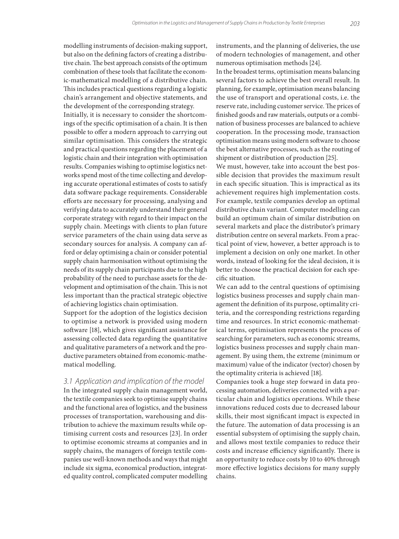modelling instruments of decision-making support, but also on the defining factors of creating a distributive chain. The best approach consists of the optimum combination of these tools that facilitate the economic-mathematical modelling of a distributive chain. This includes practical questions regarding a logistic chain's arrangement and objective statements, and the development of the corresponding strategy.

Initially, it is necessary to consider the shortcomings of the specific optimisation of a chain. It is then possible to offer a modern approach to carrying out similar optimisation. This considers the strategic and practical questions regarding the placement of a logistic chain and their integration with optimisation results. Companies wishing to optimise logistics networks spend most of the time collecting and developing accurate operational estimates of costs to satisfy data software package requirements. Considerable efforts are necessary for processing, analysing and verifying data to accurately understand their general corporate strategy with regard to their impact on the supply chain. Meetings with clients to plan future service parameters of the chain using data serve as secondary sources for analysis. A company can afford or delay optimising a chain or consider potential supply chain harmonisation without optimising the needs of its supply chain participants due to the high probability of the need to purchase assets for the development and optimisation of the chain. This is not less important than the practical strategic objective of achieving logistics chain optimisation.

Support for the adoption of the logistics decision to optimise a network is provided using modern software [18], which gives significant assistance for assessing collected data regarding the quantitative and qualitative parameters of a network and the productive parameters obtained from economic-mathematical modelling.

### *3.1 Application and implication of the model*

In the integrated supply chain management world, the textile companies seek to optimise supply chains and the functional area of logistics, and the business processes of transportation, warehousing and distribution to achieve the maximum results while optimising current costs and resources [23]. In order to optimise economic streams at companies and in supply chains, the managers of foreign textile companies use well-known methods and ways that might include six sigma, economical production, integrated quality control, complicated computer modelling instruments, and the planning of deliveries, the use of modern technologies of management, and other numerous optimisation methods [24].

In the broadest terms, optimisation means balancing several factors to achieve the best overall result. In planning, for example, optimisation means balancing the use of transport and operational costs, i.e. the reserve rate, including customer service. The prices of finished goods and raw materials, outputs or a combination of business processes are balanced to achieve cooperation. In the processing mode, transaction optimisation means using modern software to choose the best alternative processes, such as the routing of shipment or distribution of production [25].

We must, however, take into account the best possible decision that provides the maximum result in each specific situation. This is impractical as its achievement requires high implementation costs. For example, textile companies develop an optimal distributive chain variant. Computer modelling can build an optimum chain of similar distribution on several markets and place the distributor's primary distribution centre on several markets. From a practical point of view, however, a better approach is to implement a decision on only one market. In other words, instead of looking for the ideal decision, it is better to choose the practical decision for each specific situation.

We can add to the central questions of optimising logistics business processes and supply chain management the definition of its purpose, optimality criteria, and the corresponding restrictions regarding time and resources. In strict economic-mathematical terms, optimisation represents the process of searching for parameters, such as economic streams, logistics business processes and supply chain management. By using them, the extreme (minimum or maximum) value of the indicator (vector) chosen by the optimality criteria is achieved [18].

Companies took a huge step forward in data processing automation, deliveries connected with a particular chain and logistics operations. While these innovations reduced costs due to decreased labour skills, their most significant impact is expected in the future. The automation of data processing is an essential subsystem of optimising the supply chain, and allows most textile companies to reduce their costs and increase efficiency significantly. There is an opportunity to reduce costs by 10 to 40% through more effective logistics decisions for many supply chains.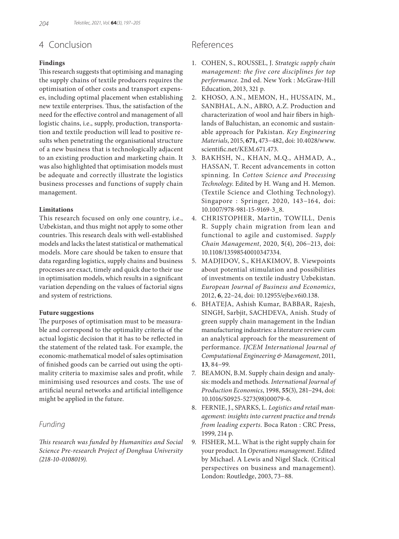# 4 Conclusion

### **Findings**

This research suggests that optimising and managing the supply chains of textile producers requires the optimisation of other costs and transport expenses, including optimal placement when establishing new textile enterprises. Thus, the satisfaction of the need for the effective control and management of all logistic chains, i.e., supply, production, transportation and textile production will lead to positive results when penetrating the organisational structure of a new business that is technologically adjacent to an existing production and marketing chain. It was also highlighted that optimisation models must be adequate and correctly illustrate the logistics business processes and functions of supply chain management.

#### **Limitations**

This research focused on only one country, i.e., Uzbekistan, and thus might not apply to some other countries. This research deals with well-established models and lacks the latest statistical or mathematical models. More care should be taken to ensure that data regarding logistics, supply chains and business processes are exact, timely and quick due to their use in optimisation models, which results in a significant variation depending on the values of factorial signs and system of restrictions.

#### **Future suggestions**

The purposes of optimisation must to be measurable and correspond to the optimality criteria of the actual logistic decision that it has to be reflected in the statement of the related task. For example, the economic-mathematical model of sales optimisation of finished goods can be carried out using the optimality criteria to maximise sales and profit, while minimising used resources and costs. The use of artificial neural networks and artificial intelligence might be applied in the future.

## *Funding*

*This research was funded by Humanities and Social Science Pre-research Project of Donghua University (218-10-0108019).*

## References

- 1. COHEN, S., ROUSSEL, J. *Strategic supply chain management: the five core disciplines for top performance*. 2nd ed. New York : McGraw-Hill Education, 2013, 321 p.
- 2. KHOSO, A.N., MEMON, H., HUSSAIN, M., SANBHAL, A.N., ABRO, A.Z. Production and characterization of wool and hair fibers in highlands of Baluchistan, an economic and sustainable approach for Pakistan. *Key Engineering Materials*, 2015, **671,** 473−482, doi: 10.4028/www. scientific.net/KEM.671.473.
- 3. BAKHSH, N., KHAN, M.Q., AHMAD, A., HASSAN, T. Recent advancements in cotton spinning. In *Cotton Science and Processing Technology*. Edited by H. Wang and H. Memon. (Textile Science and Clothing Technology). Singapore : Springer, 2020, 143−164, doi: 10.1007/978-981-15-9169-3\_8.
- 4. CHRISTOPHER, Martin, TOWILL, Denis R. Supply chain migration from lean and functional to agile and customised. *Supply Chain Management*, 2020, **5**(4), 206−213, doi: 10.1108/13598540010347334.
- 5. MADJIDOV, S., KHAKIMOV, B. Viewpoints about potential stimulation and possibilities of investments on textile industry Uzbekistan. *European Journal of Business and Economics*, 2012, **6**, 22−24, doi: 10.12955/ejbe.v6i0.138.
- 6. BHATEJA, Ashish Kumar, BABBAR, Rajesh, SINGH, Sarbjit, SACHDEVA, Anish. Study of green supply chain management in the Indian manufacturing industries: a literature review cum an analytical approach for the measurement of performance. *IJCEM International Journal of Computational Engineering & Management*, 2011, **13**, 84−99.
- 7. BEAMON, B.M. Supply chain design and analysis: models and methods. *International Journal of Production Economics*, 1998, **55**(3), 281−294, doi: 10.1016/S0925-5273(98)00079-6.
- 8. FERNIE, J., SPARKS, L. *Logistics and retail management: insights into current practice and trends from leading experts*. Boca Raton : CRC Press, 1999, 214 p.
- 9. FISHER, M.L. What is the right supply chain for your product. In *Operations management*. Edited by Michael. A Lewis and Nigel Slack. (Critical perspectives on business and management). London: Routledge, 2003, 73−88.